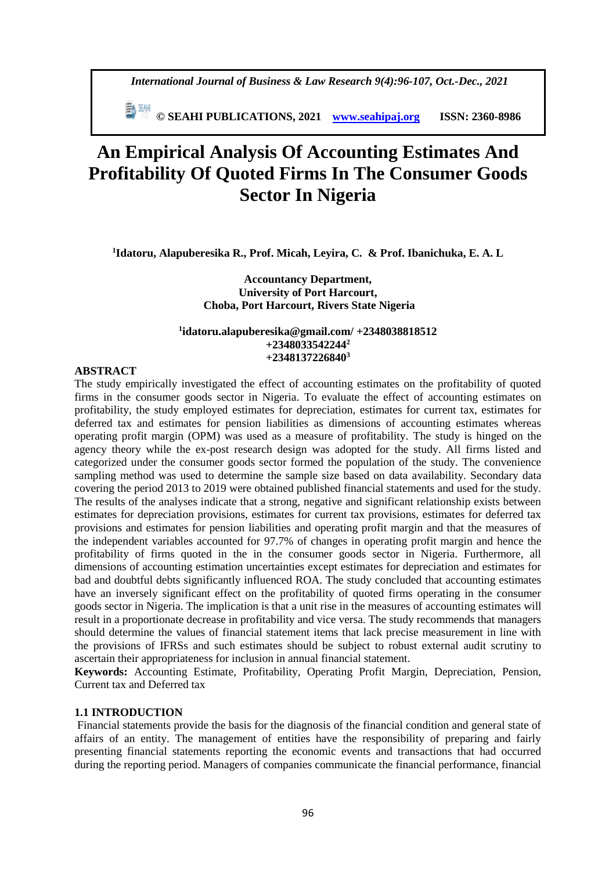*International Journal of Business & Law Research 9(4):96-107, Oct.-Dec., 2021*

 **© SEAHI PUBLICATIONS, 2021 [www.seahipaj.org](http://www.seahipaj.org/) ISSN: 2360-8986**

# **An Empirical Analysis Of Accounting Estimates And Profitability Of Quoted Firms In The Consumer Goods Sector In Nigeria**

**1 Idatoru, Alapuberesika R., Prof. Micah, Leyira, C. & Prof. Ibanichuka, E. A. L** 

**Accountancy Department, University of Port Harcourt, Choba, Port Harcourt, Rivers State Nigeria**

#### **1 idatoru.alapuberesika@gmail.com/ +2348038818512 +2348033542244<sup>2</sup> +2348137226840<sup>3</sup>**

#### **ABSTRACT**

The study empirically investigated the effect of accounting estimates on the profitability of quoted firms in the consumer goods sector in Nigeria. To evaluate the effect of accounting estimates on profitability, the study employed estimates for depreciation, estimates for current tax, estimates for deferred tax and estimates for pension liabilities as dimensions of accounting estimates whereas operating profit margin (OPM) was used as a measure of profitability. The study is hinged on the agency theory while the ex-post research design was adopted for the study. All firms listed and categorized under the consumer goods sector formed the population of the study. The convenience sampling method was used to determine the sample size based on data availability. Secondary data covering the period 2013 to 2019 were obtained published financial statements and used for the study. The results of the analyses indicate that a strong, negative and significant relationship exists between estimates for depreciation provisions, estimates for current tax provisions, estimates for deferred tax provisions and estimates for pension liabilities and operating profit margin and that the measures of the independent variables accounted for 97.7% of changes in operating profit margin and hence the profitability of firms quoted in the in the consumer goods sector in Nigeria. Furthermore, all dimensions of accounting estimation uncertainties except estimates for depreciation and estimates for bad and doubtful debts significantly influenced ROA. The study concluded that accounting estimates have an inversely significant effect on the profitability of quoted firms operating in the consumer goods sector in Nigeria. The implication is that a unit rise in the measures of accounting estimates will result in a proportionate decrease in profitability and vice versa. The study recommends that managers should determine the values of financial statement items that lack precise measurement in line with the provisions of IFRSs and such estimates should be subject to robust external audit scrutiny to ascertain their appropriateness for inclusion in annual financial statement.

**Keywords:** Accounting Estimate, Profitability, Operating Profit Margin, Depreciation, Pension, Current tax and Deferred tax

#### **1.1 INTRODUCTION**

Financial statements provide the basis for the diagnosis of the financial condition and general state of affairs of an entity. The management of entities have the responsibility of preparing and fairly presenting financial statements reporting the economic events and transactions that had occurred during the reporting period. Managers of companies communicate the financial performance, financial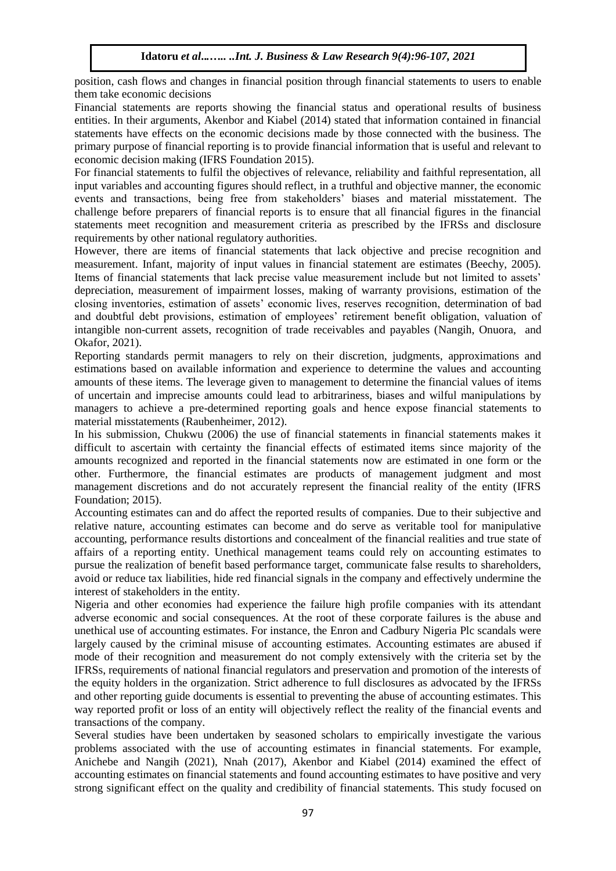position, cash flows and changes in financial position through financial statements to users to enable them take economic decisions

Financial statements are reports showing the financial status and operational results of business entities. In their arguments, Akenbor and Kiabel (2014) stated that information contained in financial statements have effects on the economic decisions made by those connected with the business. The primary purpose of financial reporting is to provide financial information that is useful and relevant to economic decision making (IFRS Foundation 2015).

For financial statements to fulfil the objectives of relevance, reliability and faithful representation, all input variables and accounting figures should reflect, in a truthful and objective manner, the economic events and transactions, being free from stakeholders' biases and material misstatement. The challenge before preparers of financial reports is to ensure that all financial figures in the financial statements meet recognition and measurement criteria as prescribed by the IFRSs and disclosure requirements by other national regulatory authorities.

However, there are items of financial statements that lack objective and precise recognition and measurement. Infant, majority of input values in financial statement are estimates (Beechy, 2005). Items of financial statements that lack precise value measurement include but not limited to assets' depreciation, measurement of impairment losses, making of warranty provisions, estimation of the closing inventories, estimation of assets' economic lives, reserves recognition, determination of bad and doubtful debt provisions, estimation of employees' retirement benefit obligation, valuation of intangible non-current assets, recognition of trade receivables and payables (Nangih, Onuora, and Okafor, 2021).

Reporting standards permit managers to rely on their discretion, judgments, approximations and estimations based on available information and experience to determine the values and accounting amounts of these items. The leverage given to management to determine the financial values of items of uncertain and imprecise amounts could lead to arbitrariness, biases and wilful manipulations by managers to achieve a pre-determined reporting goals and hence expose financial statements to material misstatements (Raubenheimer, 2012).

In his submission, Chukwu (2006) the use of financial statements in financial statements makes it difficult to ascertain with certainty the financial effects of estimated items since majority of the amounts recognized and reported in the financial statements now are estimated in one form or the other. Furthermore, the financial estimates are products of management judgment and most management discretions and do not accurately represent the financial reality of the entity (IFRS Foundation; 2015).

Accounting estimates can and do affect the reported results of companies. Due to their subjective and relative nature, accounting estimates can become and do serve as veritable tool for manipulative accounting, performance results distortions and concealment of the financial realities and true state of affairs of a reporting entity. Unethical management teams could rely on accounting estimates to pursue the realization of benefit based performance target, communicate false results to shareholders, avoid or reduce tax liabilities, hide red financial signals in the company and effectively undermine the interest of stakeholders in the entity.

Nigeria and other economies had experience the failure high profile companies with its attendant adverse economic and social consequences. At the root of these corporate failures is the abuse and unethical use of accounting estimates. For instance, the Enron and Cadbury Nigeria Plc scandals were largely caused by the criminal misuse of accounting estimates. Accounting estimates are abused if mode of their recognition and measurement do not comply extensively with the criteria set by the IFRSs, requirements of national financial regulators and preservation and promotion of the interests of the equity holders in the organization. Strict adherence to full disclosures as advocated by the IFRSs and other reporting guide documents is essential to preventing the abuse of accounting estimates. This way reported profit or loss of an entity will objectively reflect the reality of the financial events and transactions of the company.

Several studies have been undertaken by seasoned scholars to empirically investigate the various problems associated with the use of accounting estimates in financial statements. For example, Anichebe and Nangih (2021), Nnah (2017), Akenbor and Kiabel (2014) examined the effect of accounting estimates on financial statements and found accounting estimates to have positive and very strong significant effect on the quality and credibility of financial statements. This study focused on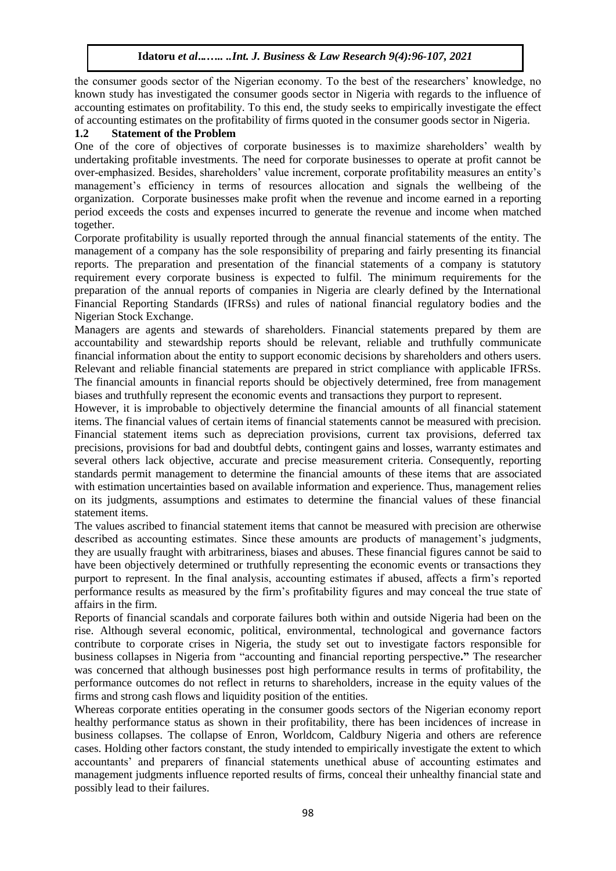the consumer goods sector of the Nigerian economy. To the best of the researchers' knowledge, no known study has investigated the consumer goods sector in Nigeria with regards to the influence of accounting estimates on profitability. To this end, the study seeks to empirically investigate the effect of accounting estimates on the profitability of firms quoted in the consumer goods sector in Nigeria.

# **1.2 Statement of the Problem**

One of the core of objectives of corporate businesses is to maximize shareholders' wealth by undertaking profitable investments. The need for corporate businesses to operate at profit cannot be over-emphasized. Besides, shareholders' value increment, corporate profitability measures an entity's management's efficiency in terms of resources allocation and signals the wellbeing of the organization. Corporate businesses make profit when the revenue and income earned in a reporting period exceeds the costs and expenses incurred to generate the revenue and income when matched together.

Corporate profitability is usually reported through the annual financial statements of the entity. The management of a company has the sole responsibility of preparing and fairly presenting its financial reports. The preparation and presentation of the financial statements of a company is statutory requirement every corporate business is expected to fulfil. The minimum requirements for the preparation of the annual reports of companies in Nigeria are clearly defined by the International Financial Reporting Standards (IFRSs) and rules of national financial regulatory bodies and the Nigerian Stock Exchange.

Managers are agents and stewards of shareholders. Financial statements prepared by them are accountability and stewardship reports should be relevant, reliable and truthfully communicate financial information about the entity to support economic decisions by shareholders and others users. Relevant and reliable financial statements are prepared in strict compliance with applicable IFRSs. The financial amounts in financial reports should be objectively determined, free from management biases and truthfully represent the economic events and transactions they purport to represent.

However, it is improbable to objectively determine the financial amounts of all financial statement items. The financial values of certain items of financial statements cannot be measured with precision. Financial statement items such as depreciation provisions, current tax provisions, deferred tax precisions, provisions for bad and doubtful debts, contingent gains and losses, warranty estimates and several others lack objective, accurate and precise measurement criteria. Consequently, reporting standards permit management to determine the financial amounts of these items that are associated with estimation uncertainties based on available information and experience. Thus, management relies on its judgments, assumptions and estimates to determine the financial values of these financial statement items.

The values ascribed to financial statement items that cannot be measured with precision are otherwise described as accounting estimates. Since these amounts are products of management's judgments, they are usually fraught with arbitrariness, biases and abuses. These financial figures cannot be said to have been objectively determined or truthfully representing the economic events or transactions they purport to represent. In the final analysis, accounting estimates if abused, affects a firm's reported performance results as measured by the firm's profitability figures and may conceal the true state of affairs in the firm.

Reports of financial scandals and corporate failures both within and outside Nigeria had been on the rise. Although several economic, political, environmental, technological and governance factors contribute to corporate crises in Nigeria, the study set out to investigate factors responsible for business collapses in Nigeria from "accounting and financial reporting perspective**."** The researcher was concerned that although businesses post high performance results in terms of profitability, the performance outcomes do not reflect in returns to shareholders, increase in the equity values of the firms and strong cash flows and liquidity position of the entities.

Whereas corporate entities operating in the consumer goods sectors of the Nigerian economy report healthy performance status as shown in their profitability, there has been incidences of increase in business collapses. The collapse of Enron, Worldcom, Caldbury Nigeria and others are reference cases. Holding other factors constant, the study intended to empirically investigate the extent to which accountants' and preparers of financial statements unethical abuse of accounting estimates and management judgments influence reported results of firms, conceal their unhealthy financial state and possibly lead to their failures.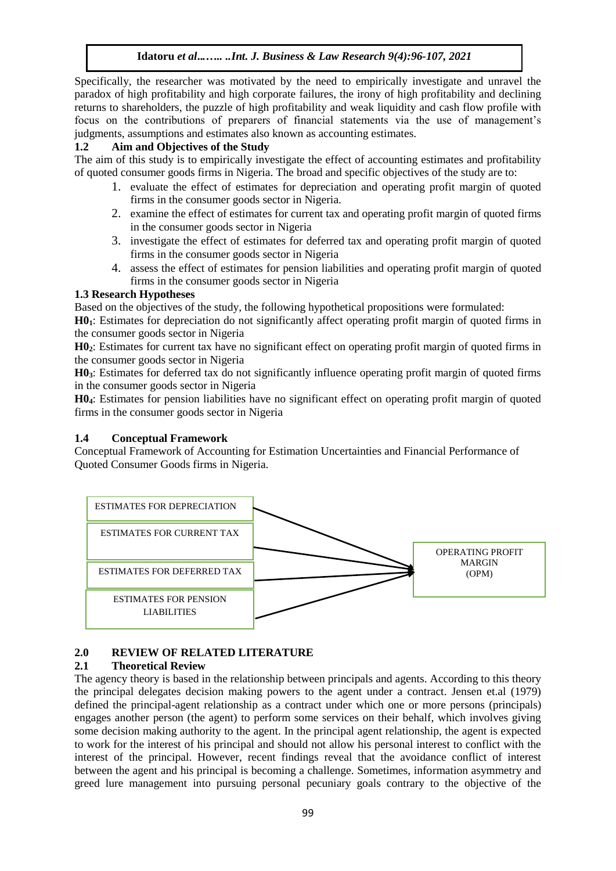Specifically, the researcher was motivated by the need to empirically investigate and unravel the paradox of high profitability and high corporate failures, the irony of high profitability and declining returns to shareholders, the puzzle of high profitability and weak liquidity and cash flow profile with focus on the contributions of preparers of financial statements via the use of management's judgments, assumptions and estimates also known as accounting estimates.

# **1.2 Aim and Objectives of the Study**

The aim of this study is to empirically investigate the effect of accounting estimates and profitability of quoted consumer goods firms in Nigeria. The broad and specific objectives of the study are to:

- 1. evaluate the effect of estimates for depreciation and operating profit margin of quoted firms in the consumer goods sector in Nigeria.
- 2. examine the effect of estimates for current tax and operating profit margin of quoted firms in the consumer goods sector in Nigeria
- 3. investigate the effect of estimates for deferred tax and operating profit margin of quoted firms in the consumer goods sector in Nigeria
- 4. assess the effect of estimates for pension liabilities and operating profit margin of quoted firms in the consumer goods sector in Nigeria

## **1.3 Research Hypotheses**

Based on the objectives of the study, the following hypothetical propositions were formulated:

**H01**: Estimates for depreciation do not significantly affect operating profit margin of quoted firms in the consumer goods sector in Nigeria

**H02**: Estimates for current tax have no significant effect on operating profit margin of quoted firms in the consumer goods sector in Nigeria

**H03**: Estimates for deferred tax do not significantly influence operating profit margin of quoted firms in the consumer goods sector in Nigeria

**H04**: Estimates for pension liabilities have no significant effect on operating profit margin of quoted firms in the consumer goods sector in Nigeria

## **1.4 Conceptual Framework**

Conceptual Framework of Accounting for Estimation Uncertainties and Financial Performance of Quoted Consumer Goods firms in Nigeria.



# **2.0 REVIEW OF RELATED LITERATURE**

## **2.1 Theoretical Review**

The agency theory is based in the relationship between principals and agents. According to this theory the principal delegates decision making powers to the agent under a contract. Jensen et.al (1979) defined the principal-agent relationship as a contract under which one or more persons (principals) engages another person (the agent) to perform some services on their behalf, which involves giving some decision making authority to the agent. In the principal agent relationship, the agent is expected to work for the interest of his principal and should not allow his personal interest to conflict with the interest of the principal. However, recent findings reveal that the avoidance conflict of interest between the agent and his principal is becoming a challenge. Sometimes, information asymmetry and greed lure management into pursuing personal pecuniary goals contrary to the objective of the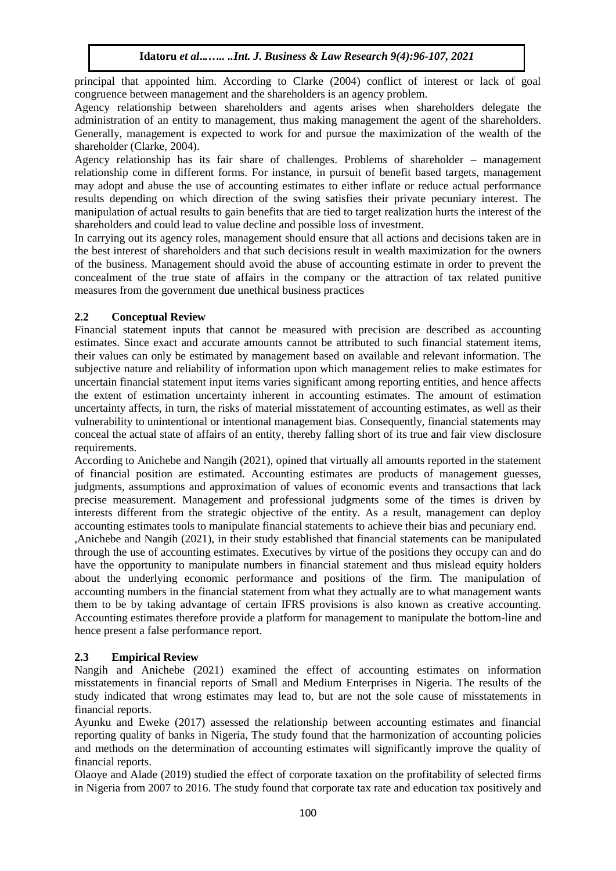principal that appointed him. According to Clarke (2004) conflict of interest or lack of goal congruence between management and the shareholders is an agency problem.

Agency relationship between shareholders and agents arises when shareholders delegate the administration of an entity to management, thus making management the agent of the shareholders. Generally, management is expected to work for and pursue the maximization of the wealth of the shareholder (Clarke, 2004).

Agency relationship has its fair share of challenges. Problems of shareholder – management relationship come in different forms. For instance, in pursuit of benefit based targets, management may adopt and abuse the use of accounting estimates to either inflate or reduce actual performance results depending on which direction of the swing satisfies their private pecuniary interest. The manipulation of actual results to gain benefits that are tied to target realization hurts the interest of the shareholders and could lead to value decline and possible loss of investment.

In carrying out its agency roles, management should ensure that all actions and decisions taken are in the best interest of shareholders and that such decisions result in wealth maximization for the owners of the business. Management should avoid the abuse of accounting estimate in order to prevent the concealment of the true state of affairs in the company or the attraction of tax related punitive measures from the government due unethical business practices

# **2.2 Conceptual Review**

Financial statement inputs that cannot be measured with precision are described as accounting estimates. Since exact and accurate amounts cannot be attributed to such financial statement items, their values can only be estimated by management based on available and relevant information. The subjective nature and reliability of information upon which management relies to make estimates for uncertain financial statement input items varies significant among reporting entities, and hence affects the extent of estimation uncertainty inherent in accounting estimates. The amount of estimation uncertainty affects, in turn, the risks of material misstatement of accounting estimates, as well as their vulnerability to unintentional or intentional management bias. Consequently, financial statements may conceal the actual state of affairs of an entity, thereby falling short of its true and fair view disclosure requirements.

According to Anichebe and Nangih (2021), opined that virtually all amounts reported in the statement of financial position are estimated. Accounting estimates are products of management guesses, judgments, assumptions and approximation of values of economic events and transactions that lack precise measurement. Management and professional judgments some of the times is driven by interests different from the strategic objective of the entity. As a result, management can deploy accounting estimates tools to manipulate financial statements to achieve their bias and pecuniary end. ,Anichebe and Nangih (2021), in their study established that financial statements can be manipulated through the use of accounting estimates. Executives by virtue of the positions they occupy can and do have the opportunity to manipulate numbers in financial statement and thus mislead equity holders about the underlying economic performance and positions of the firm. The manipulation of accounting numbers in the financial statement from what they actually are to what management wants them to be by taking advantage of certain IFRS provisions is also known as creative accounting. Accounting estimates therefore provide a platform for management to manipulate the bottom-line and hence present a false performance report.

# **2.3 Empirical Review**

Nangih and Anichebe (2021) examined the effect of accounting estimates on information misstatements in financial reports of Small and Medium Enterprises in Nigeria. The results of the study indicated that wrong estimates may lead to, but are not the sole cause of misstatements in financial reports.

Ayunku and Eweke (2017) assessed the relationship between accounting estimates and financial reporting quality of banks in Nigeria, The study found that the harmonization of accounting policies and methods on the determination of accounting estimates will significantly improve the quality of financial reports.

Olaoye and Alade (2019) studied the effect of corporate taxation on the profitability of selected firms in Nigeria from 2007 to 2016. The study found that corporate tax rate and education tax positively and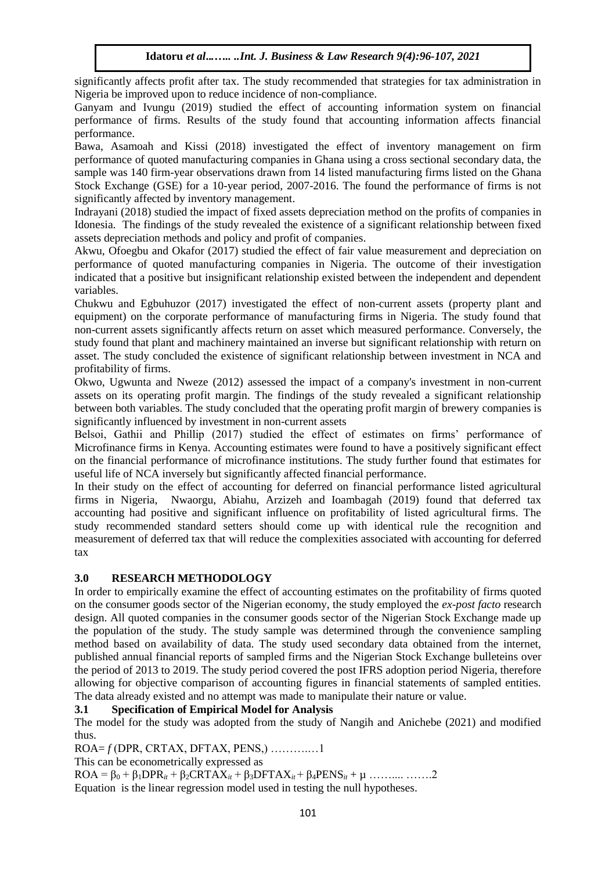significantly affects profit after tax. The study recommended that strategies for tax administration in Nigeria be improved upon to reduce incidence of non-compliance.

Ganyam and Ivungu (2019) studied the effect of accounting information system on financial performance of firms. Results of the study found that accounting information affects financial performance.

Bawa, Asamoah and Kissi (2018) investigated the effect of inventory management on firm performance of quoted manufacturing companies in Ghana using a cross sectional secondary data, the sample was 140 firm-year observations drawn from 14 listed manufacturing firms listed on the Ghana Stock Exchange (GSE) for a 10-year period, 2007-2016. The found the performance of firms is not significantly affected by inventory management.

Indrayani (2018) studied the impact of fixed assets depreciation method on the profits of companies in Idonesia. The findings of the study revealed the existence of a significant relationship between fixed assets depreciation methods and policy and profit of companies.

Akwu, Ofoegbu and Okafor (2017) studied the effect of fair value measurement and depreciation on performance of quoted manufacturing companies in Nigeria. The outcome of their investigation indicated that a positive but insignificant relationship existed between the independent and dependent variables.

Chukwu and Egbuhuzor (2017) investigated the effect of non-current assets (property plant and equipment) on the corporate performance of manufacturing firms in Nigeria. The study found that non-current assets significantly affects return on asset which measured performance. Conversely, the study found that plant and machinery maintained an inverse but significant relationship with return on asset. The study concluded the existence of significant relationship between investment in NCA and profitability of firms.

Okwo, Ugwunta and Nweze (2012) assessed the impact of a company's investment in non-current assets on its operating profit margin. The findings of the study revealed a significant relationship between both variables. The study concluded that the operating profit margin of brewery companies is significantly influenced by investment in non-current assets

Belsoi, Gathii and Phillip (2017) studied the effect of estimates on firms' performance of Microfinance firms in Kenya. Accounting estimates were found to have a positively significant effect on the financial performance of microfinance institutions. The study further found that estimates for useful life of NCA inversely but significantly affected financial performance.

In their study on the effect of accounting for deferred on financial performance listed agricultural firms in Nigeria, Nwaorgu, Abiahu, Arzizeh and Ioambagah (2019) found that deferred tax accounting had positive and significant influence on profitability of listed agricultural firms. The study recommended standard setters should come up with identical rule the recognition and measurement of deferred tax that will reduce the complexities associated with accounting for deferred tax

## **3.0 RESEARCH METHODOLOGY**

In order to empirically examine the effect of accounting estimates on the profitability of firms quoted on the consumer goods sector of the Nigerian economy, the study employed the *ex-post facto* research design. All quoted companies in the consumer goods sector of the Nigerian Stock Exchange made up the population of the study. The study sample was determined through the convenience sampling method based on availability of data. The study used secondary data obtained from the internet, published annual financial reports of sampled firms and the Nigerian Stock Exchange bulleteins over the period of 2013 to 2019. The study period covered the post IFRS adoption period Nigeria, therefore allowing for objective comparison of accounting figures in financial statements of sampled entities. The data already existed and no attempt was made to manipulate their nature or value.

# **3.1 Specification of Empirical Model for Analysis**

The model for the study was adopted from the study of Nangih and Anichebe (2021) and modified thus.

ROA= *f* (DPR, CRTAX, DFTAX, PENS,) ……….…1

This can be econometrically expressed as

 $ROA = β<sub>0</sub> + β<sub>1</sub>DPR<sub>it</sub> + β<sub>2</sub>CRTAX<sub>it</sub> + β<sub>3</sub>DFTAX<sub>it</sub> + β<sub>4</sub>PENS<sub>it</sub> + μ .........$ 

Equation is the linear regression model used in testing the null hypotheses.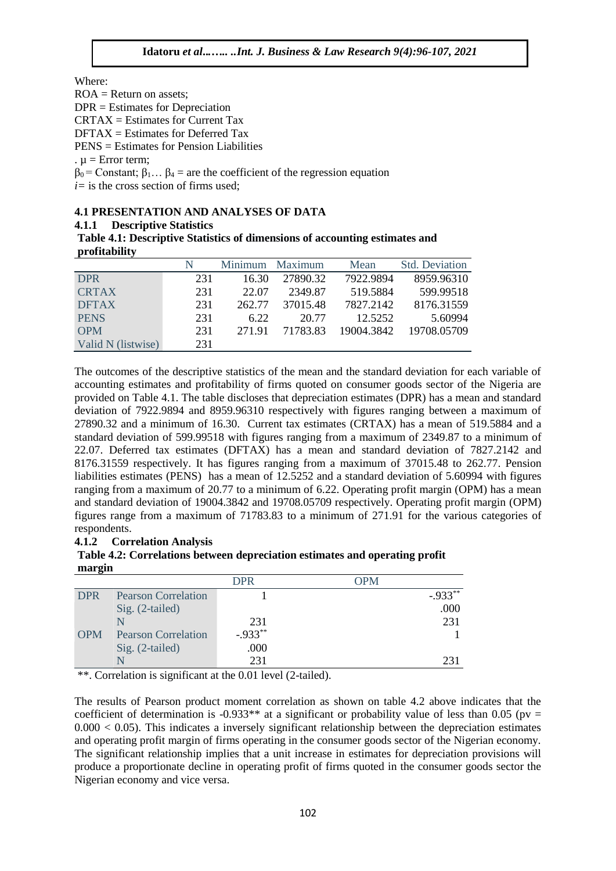Where:

 $ROA = Return on assets;$ 

DPR = Estimates for Depreciation

 $CRTAX = Estimates for Current Tax$ 

 $DFTAX = Estimates for Deferred Tax$ 

PENS = Estimates for Pension Liabilities

.  $u = Error term$ :

 $β<sub>0</sub> = Constant; β<sub>1</sub>... β<sub>4</sub> = are the coefficient of the regression equation$ 

 $i=$  is the cross section of firms used:

# **4.1 PRESENTATION AND ANALYSES OF DATA**

## **4.1.1 Descriptive Statistics**

**Table 4.1: Descriptive Statistics of dimensions of accounting estimates and profitability**

|                    | N   |        | Minimum Maximum | Mean       | <b>Std.</b> Deviation |
|--------------------|-----|--------|-----------------|------------|-----------------------|
| <b>DPR</b>         | 231 | 16.30  | 27890.32        | 7922.9894  | 8959.96310            |
| <b>CRTAX</b>       | 231 | 22.07  | 2349.87         | 519.5884   | 599.99518             |
| <b>DFTAX</b>       | 231 | 262.77 | 37015.48        | 7827.2142  | 8176.31559            |
| <b>PENS</b>        | 231 | 6.22   | 20.77           | 12.5252    | 5.60994               |
| <b>OPM</b>         | 231 | 271.91 | 71783.83        | 19004.3842 | 19708.05709           |
| Valid N (listwise) | 231 |        |                 |            |                       |

The outcomes of the descriptive statistics of the mean and the standard deviation for each variable of accounting estimates and profitability of firms quoted on consumer goods sector of the Nigeria are provided on Table 4.1. The table discloses that depreciation estimates (DPR) has a mean and standard deviation of 7922.9894 and 8959.96310 respectively with figures ranging between a maximum of 27890.32 and a minimum of 16.30. Current tax estimates (CRTAX) has a mean of 519.5884 and a standard deviation of 599.99518 with figures ranging from a maximum of 2349.87 to a minimum of 22.07. Deferred tax estimates (DFTAX) has a mean and standard deviation of 7827.2142 and 8176.31559 respectively. It has figures ranging from a maximum of 37015.48 to 262.77. Pension liabilities estimates (PENS) has a mean of 12.5252 and a standard deviation of 5.60994 with figures ranging from a maximum of 20.77 to a minimum of 6.22. Operating profit margin (OPM) has a mean and standard deviation of 19004.3842 and 19708.05709 respectively. Operating profit margin (OPM) figures range from a maximum of 71783.83 to a minimum of 271.91 for the various categories of respondents.

## **4.1.2 Correlation Analysis**

**Table 4.2: Correlations between depreciation estimates and operating profit margin**

| -          |                            | <b>DPR</b>  | OPM |           |
|------------|----------------------------|-------------|-----|-----------|
| <b>DPR</b> | <b>Pearson Correlation</b> |             |     | $-.933**$ |
|            | Sig. (2-tailed)            |             |     | .000      |
|            | $\mathbf N$                | 231         |     | 231       |
| <b>OPM</b> | <b>Pearson Correlation</b> | $-0.933***$ |     |           |
|            | Sig. (2-tailed)            | .000        |     |           |
|            |                            | 231         |     | 231       |

\*\*. Correlation is significant at the 0.01 level (2-tailed).

The results of Pearson product moment correlation as shown on table 4.2 above indicates that the coefficient of determination is -0.933<sup>\*\*</sup> at a significant or probability value of less than 0.05 (pv =  $0.000 < 0.05$ ). This indicates a inversely significant relationship between the depreciation estimates and operating profit margin of firms operating in the consumer goods sector of the Nigerian economy. The significant relationship implies that a unit increase in estimates for depreciation provisions will produce a proportionate decline in operating profit of firms quoted in the consumer goods sector the Nigerian economy and vice versa.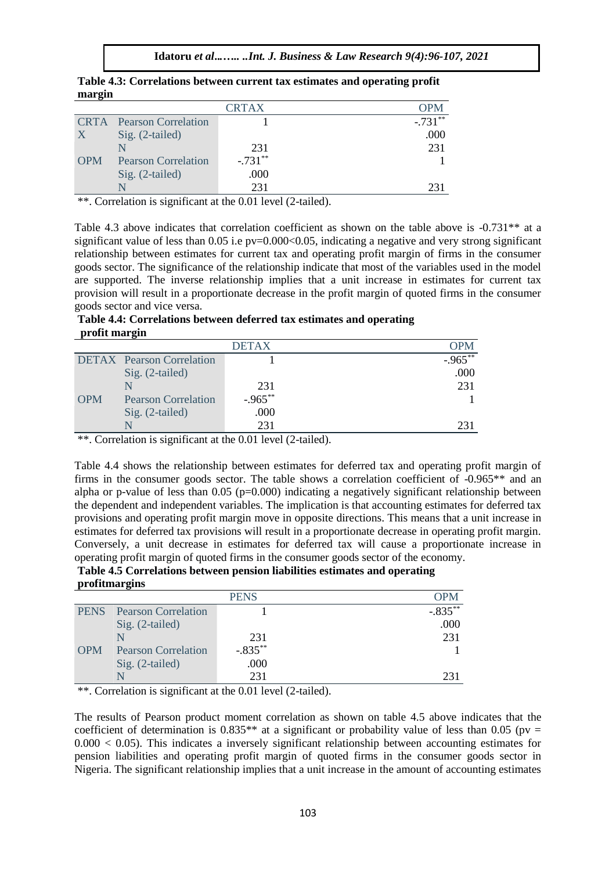**Idatoru** *et al***..***.….. ..Int. J. Business & Law Research 9(4):96-107, 2021*

|              |                            | <b>CRTAX</b> |            |
|--------------|----------------------------|--------------|------------|
| <b>CRTA</b>  | <b>Pearson Correlation</b> |              | $-.731***$ |
| $\mathbf{X}$ | Sig. (2-tailed)            |              | .000       |
|              |                            | 231          | 231        |
| <b>OPM</b>   | <b>Pearson Correlation</b> | $-.731***$   |            |
|              | Sig. (2-tailed)            | .000         |            |
|              |                            | 231          |            |

**Table 4.3: Correlations between current tax estimates and operating profit margin**

\*\*. Correlation is significant at the 0.01 level (2-tailed).

Table 4.3 above indicates that correlation coefficient as shown on the table above is -0.731\*\* at a significant value of less than  $0.05$  i.e pv=0.000 $< 0.05$ , indicating a negative and very strong significant relationship between estimates for current tax and operating profit margin of firms in the consumer goods sector. The significance of the relationship indicate that most of the variables used in the model are supported. The inverse relationship implies that a unit increase in estimates for current tax provision will result in a proportionate decrease in the profit margin of quoted firms in the consumer goods sector and vice versa.

**Table 4.4: Correlations between deferred tax estimates and operating profit margin**

|            |                                  | <b>DETAX</b> | <b>OPM</b>  |
|------------|----------------------------------|--------------|-------------|
|            | <b>DETAX</b> Pearson Correlation |              | $-0.965***$ |
|            | Sig. (2-tailed)                  |              | .000        |
|            |                                  | 231          | 231         |
| <b>OPM</b> | <b>Pearson Correlation</b>       | $-.965***$   |             |
|            | Sig. (2-tailed)                  | .000         |             |
|            |                                  | 231          | 231         |

\*\*. Correlation is significant at the 0.01 level (2-tailed).

Table 4.4 shows the relationship between estimates for deferred tax and operating profit margin of firms in the consumer goods sector. The table shows a correlation coefficient of -0.965\*\* and an alpha or p-value of less than  $0.05$  (p=0.000) indicating a negatively significant relationship between the dependent and independent variables. The implication is that accounting estimates for deferred tax provisions and operating profit margin move in opposite directions. This means that a unit increase in estimates for deferred tax provisions will result in a proportionate decrease in operating profit margin. Conversely, a unit decrease in estimates for deferred tax will cause a proportionate increase in operating profit margin of quoted firms in the consumer goods sector of the economy.

**Table 4.5 Correlations between pension liabilities estimates and operating profitmargins**

|             | ------- <b>-</b> -----     |             |            |
|-------------|----------------------------|-------------|------------|
|             |                            | <b>PENS</b> | <b>OPM</b> |
| <b>PENS</b> | <b>Pearson Correlation</b> |             | $-.835***$ |
|             | Sig. (2-tailed)            |             | .000       |
|             |                            | 231         | 231        |
| <b>OPM</b>  | <b>Pearson Correlation</b> | $-.835***$  |            |
|             | Sig. (2-tailed)            | .000        |            |
|             | N                          | 231         |            |

\*\*. Correlation is significant at the 0.01 level (2-tailed).

The results of Pearson product moment correlation as shown on table 4.5 above indicates that the coefficient of determination is 0.835<sup>\*\*</sup> at a significant or probability value of less than 0.05 (pv =  $0.000 < 0.05$ ). This indicates a inversely significant relationship between accounting estimates for pension liabilities and operating profit margin of quoted firms in the consumer goods sector in Nigeria. The significant relationship implies that a unit increase in the amount of accounting estimates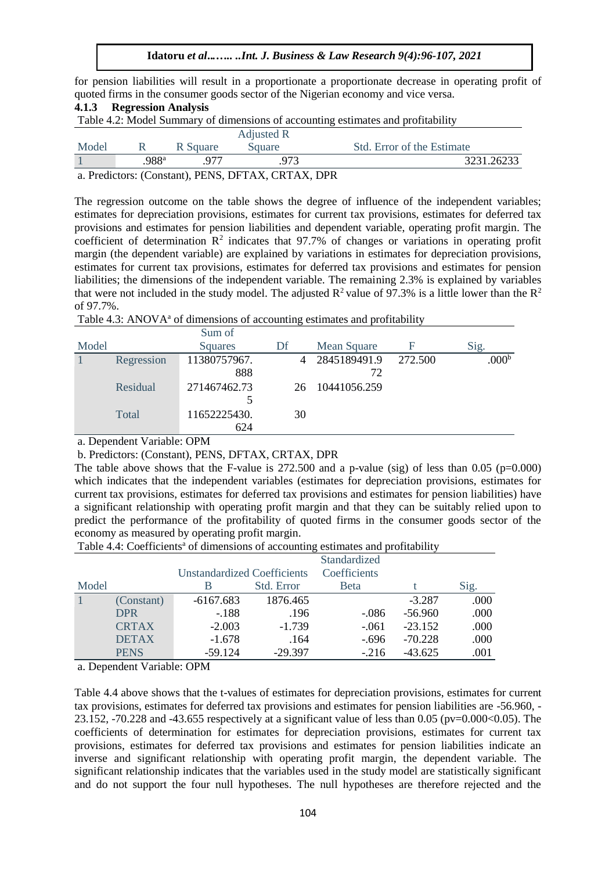for pension liabilities will result in a proportionate a proportionate decrease in operating profit of quoted firms in the consumer goods sector of the Nigerian economy and vice versa.

| <b>Regression Analysis</b><br>4.1.3                                              |                   |          |            |                            |  |  |  |
|----------------------------------------------------------------------------------|-------------------|----------|------------|----------------------------|--|--|--|
| Table 4.2: Model Summary of dimensions of accounting estimates and profitability |                   |          |            |                            |  |  |  |
|                                                                                  |                   |          | Adjusted R |                            |  |  |  |
| Model                                                                            | -R                | R Square | Square     | Std. Error of the Estimate |  |  |  |
|                                                                                  | .988 <sup>a</sup> | 977      | 973        | 3231.26233                 |  |  |  |
| a. Predictors: (Constant), PENS, DFTAX, CRTAX, DPR                               |                   |          |            |                            |  |  |  |

The regression outcome on the table shows the degree of influence of the independent variables; estimates for depreciation provisions, estimates for current tax provisions, estimates for deferred tax provisions and estimates for pension liabilities and dependent variable, operating profit margin. The coefficient of determination  $\mathbb{R}^2$  indicates that 97.7% of changes or variations in operating profit margin (the dependent variable) are explained by variations in estimates for depreciation provisions, estimates for current tax provisions, estimates for deferred tax provisions and estimates for pension liabilities; the dimensions of the independent variable. The remaining 2.3% is explained by variables that were not included in the study model. The adjusted  $\mathbb{R}^2$  value of 97.3% is a little lower than the  $\mathbb{R}^2$ of 97.7%.

| Table 4.3: ANOVA <sup>a</sup> of dimensions of accounting estimates and profitability |  |  |
|---------------------------------------------------------------------------------------|--|--|
|---------------------------------------------------------------------------------------|--|--|

|       |            | Sum of       |    |                |         |                   |
|-------|------------|--------------|----|----------------|---------|-------------------|
| Model |            | Squares      | Df | Mean Square    | F       | Sig.              |
|       | Regression | 11380757967. |    | 4 2845189491.9 | 272.500 | .000 <sup>b</sup> |
|       |            | 888          |    | 72             |         |                   |
|       | Residual   | 271467462.73 | 26 | 10441056.259   |         |                   |
|       |            | 5            |    |                |         |                   |
|       | Total      | 11652225430. | 30 |                |         |                   |
|       |            | 624          |    |                |         |                   |

a. Dependent Variable: OPM

b. Predictors: (Constant), PENS, DFTAX, CRTAX, DPR

The table above shows that the F-value is  $272.500$  and a p-value (sig) of less than 0.05 (p=0.000) which indicates that the independent variables (estimates for depreciation provisions, estimates for current tax provisions, estimates for deferred tax provisions and estimates for pension liabilities) have a significant relationship with operating profit margin and that they can be suitably relied upon to predict the performance of the profitability of quoted firms in the consumer goods sector of the economy as measured by operating profit margin.

Table 4.4: Coefficients<sup>a</sup> of dimensions of accounting estimates and profitability

|       |              |                             |            | Standardized |           |      |
|-------|--------------|-----------------------------|------------|--------------|-----------|------|
|       |              | Unstandardized Coefficients |            | Coefficients |           |      |
| Model |              |                             | Std. Error | <b>B</b> eta |           | Sig. |
|       | (Constant)   | $-6167.683$                 | 1876.465   |              | $-3.287$  | .000 |
|       | <b>DPR</b>   | $-188$                      | .196       | $-.086$      | $-56.960$ | .000 |
|       | <b>CRTAX</b> | $-2.003$                    | $-1.739$   | $-.061$      | $-23.152$ | .000 |
|       | <b>DETAX</b> | $-1.678$                    | .164       | $-.696$      | $-70.228$ | .000 |
|       | <b>PENS</b>  | $-59.124$                   | $-29.397$  | $-216$       | $-43.625$ | .001 |

a. Dependent Variable: OPM

Table 4.4 above shows that the t-values of estimates for depreciation provisions, estimates for current tax provisions, estimates for deferred tax provisions and estimates for pension liabilities are -56.960, - 23.152, -70.228 and -43.655 respectively at a significant value of less than 0.05 ( $pv=0.000<0.05$ ). The coefficients of determination for estimates for depreciation provisions, estimates for current tax provisions, estimates for deferred tax provisions and estimates for pension liabilities indicate an inverse and significant relationship with operating profit margin, the dependent variable. The significant relationship indicates that the variables used in the study model are statistically significant and do not support the four null hypotheses. The null hypotheses are therefore rejected and the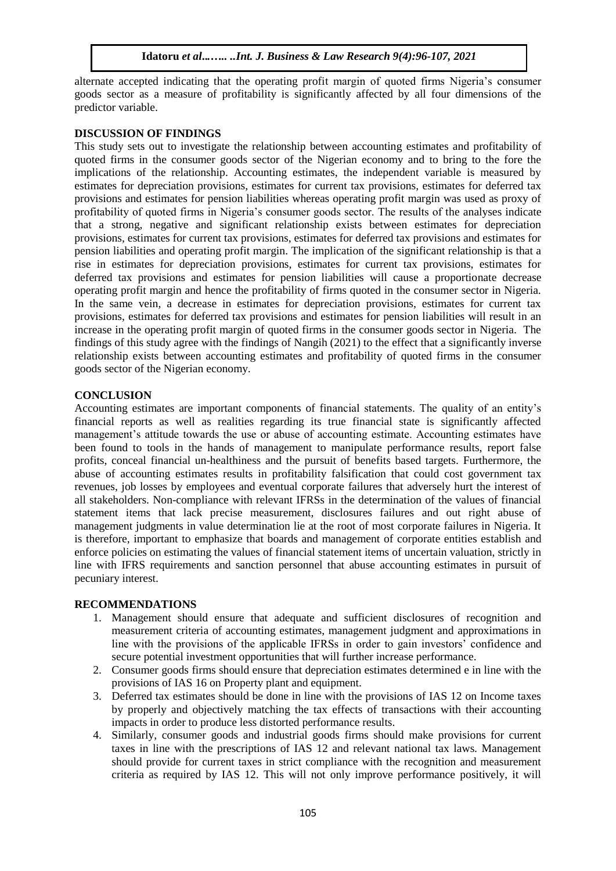alternate accepted indicating that the operating profit margin of quoted firms Nigeria's consumer goods sector as a measure of profitability is significantly affected by all four dimensions of the predictor variable.

## **DISCUSSION OF FINDINGS**

This study sets out to investigate the relationship between accounting estimates and profitability of quoted firms in the consumer goods sector of the Nigerian economy and to bring to the fore the implications of the relationship. Accounting estimates, the independent variable is measured by estimates for depreciation provisions, estimates for current tax provisions, estimates for deferred tax provisions and estimates for pension liabilities whereas operating profit margin was used as proxy of profitability of quoted firms in Nigeria's consumer goods sector. The results of the analyses indicate that a strong, negative and significant relationship exists between estimates for depreciation provisions, estimates for current tax provisions, estimates for deferred tax provisions and estimates for pension liabilities and operating profit margin. The implication of the significant relationship is that a rise in estimates for depreciation provisions, estimates for current tax provisions, estimates for deferred tax provisions and estimates for pension liabilities will cause a proportionate decrease operating profit margin and hence the profitability of firms quoted in the consumer sector in Nigeria. In the same vein, a decrease in estimates for depreciation provisions, estimates for current tax provisions, estimates for deferred tax provisions and estimates for pension liabilities will result in an increase in the operating profit margin of quoted firms in the consumer goods sector in Nigeria. The findings of this study agree with the findings of Nangih (2021) to the effect that a significantly inverse relationship exists between accounting estimates and profitability of quoted firms in the consumer goods sector of the Nigerian economy.

# **CONCLUSION**

Accounting estimates are important components of financial statements. The quality of an entity's financial reports as well as realities regarding its true financial state is significantly affected management's attitude towards the use or abuse of accounting estimate. Accounting estimates have been found to tools in the hands of management to manipulate performance results, report false profits, conceal financial un-healthiness and the pursuit of benefits based targets. Furthermore, the abuse of accounting estimates results in profitability falsification that could cost government tax revenues, job losses by employees and eventual corporate failures that adversely hurt the interest of all stakeholders. Non-compliance with relevant IFRSs in the determination of the values of financial statement items that lack precise measurement, disclosures failures and out right abuse of management judgments in value determination lie at the root of most corporate failures in Nigeria. It is therefore, important to emphasize that boards and management of corporate entities establish and enforce policies on estimating the values of financial statement items of uncertain valuation, strictly in line with IFRS requirements and sanction personnel that abuse accounting estimates in pursuit of pecuniary interest.

## **RECOMMENDATIONS**

- 1. Management should ensure that adequate and sufficient disclosures of recognition and measurement criteria of accounting estimates, management judgment and approximations in line with the provisions of the applicable IFRSs in order to gain investors' confidence and secure potential investment opportunities that will further increase performance.
- 2. Consumer goods firms should ensure that depreciation estimates determined e in line with the provisions of IAS 16 on Property plant and equipment.
- 3. Deferred tax estimates should be done in line with the provisions of IAS 12 on Income taxes by properly and objectively matching the tax effects of transactions with their accounting impacts in order to produce less distorted performance results.
- 4. Similarly, consumer goods and industrial goods firms should make provisions for current taxes in line with the prescriptions of IAS 12 and relevant national tax laws. Management should provide for current taxes in strict compliance with the recognition and measurement criteria as required by IAS 12. This will not only improve performance positively, it will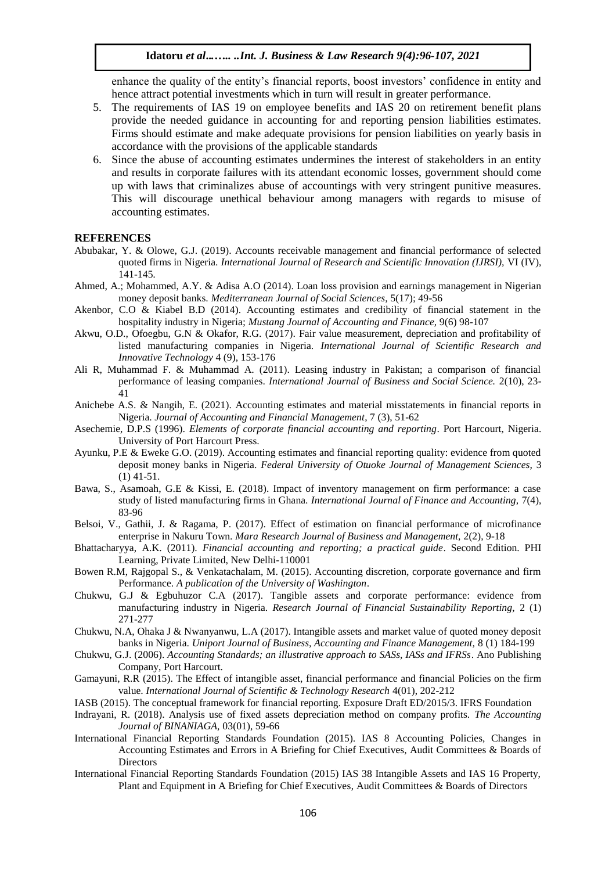enhance the quality of the entity's financial reports, boost investors' confidence in entity and hence attract potential investments which in turn will result in greater performance.

- 5. The requirements of IAS 19 on employee benefits and IAS 20 on retirement benefit plans provide the needed guidance in accounting for and reporting pension liabilities estimates. Firms should estimate and make adequate provisions for pension liabilities on yearly basis in accordance with the provisions of the applicable standards
- 6. Since the abuse of accounting estimates undermines the interest of stakeholders in an entity and results in corporate failures with its attendant economic losses, government should come up with laws that criminalizes abuse of accountings with very stringent punitive measures. This will discourage unethical behaviour among managers with regards to misuse of accounting estimates.

#### **REFERENCES**

- Abubakar, Y. & Olowe, G.J. (2019). Accounts receivable management and financial performance of selected quoted firms in Nigeria. *International Journal of Research and Scientific Innovation (IJRSI),* VI (IV), 141-145*.*
- Ahmed, A.; Mohammed, A.Y. & Adisa A.O (2014). Loan loss provision and earnings management in Nigerian money deposit banks. *Mediterranean Journal of Social Sciences,* 5(17); 49-56
- Akenbor, C.O & Kiabel B.D (2014). Accounting estimates and credibility of financial statement in the hospitality industry in Nigeria; *Mustang Journal of Accounting and Finance,* 9(6) 98-107
- Akwu, O.D., Ofoegbu, G.N & Okafor, R.G. (2017). Fair value measurement, depreciation and profitability of listed manufacturing companies in Nigeria. *International Journal of Scientific Research and Innovative Technology* 4 (9), 153-176
- Ali R, Muhammad F. & Muhammad A. (2011). Leasing industry in Pakistan; a comparison of financial performance of leasing companies. *International Journal of Business and Social Science.* 2(10), 23-  $\overline{41}$
- Anichebe A.S. & Nangih, E. (2021). Accounting estimates and material misstatements in financial reports in Nigeria. *Journal of Accounting and Financial Management*, 7 (3), 51-62
- Asechemie, D.P.S (1996). *Elements of corporate financial accounting and reporting*. Port Harcourt, Nigeria. University of Port Harcourt Press.
- Ayunku, P.E & Eweke G.O. (2019). Accounting estimates and financial reporting quality: evidence from quoted deposit money banks in Nigeria. *Federal University of Otuoke Journal of Management Sciences,* 3 (1) 41-51.
- Bawa, S., Asamoah, G.E & Kissi, E. (2018). Impact of inventory management on firm performance: a case study of listed manufacturing firms in Ghana. *International Journal of Finance and Accounting,* 7(4), 83-96
- Belsoi, V., Gathii, J. & Ragama, P. (2017). Effect of estimation on financial performance of microfinance enterprise in Nakuru Town. *Mara Research Journal of Business and Management,* 2(2), 9-18
- Bhattacharyya, A.K. (2011). *Financial accounting and reporting; a practical guide*. Second Edition. PHI Learning, Private Limited, New Delhi-110001
- Bowen R.M, Rajgopal S., & Venkatachalam, M. (2015). Accounting discretion, corporate governance and firm Performance. *A publication of the University of Washington*.
- Chukwu, G.J & Egbuhuzor C.A (2017). Tangible assets and corporate performance: evidence from manufacturing industry in Nigeria. *Research Journal of Financial Sustainability Reporting,* 2 (1) 271-277
- Chukwu, N.A, Ohaka J & Nwanyanwu, L.A (2017). Intangible assets and market value of quoted money deposit banks in Nigeria. *Uniport Journal of Business, Accounting and Finance Management,* 8 (1) 184-199
- Chukwu, G.J. (2006). *Accounting Standards; an illustrative approach to SASs, IASs and IFRSs*. Ano Publishing Company, Port Harcourt.
- Gamayuni, R.R (2015). The Effect of intangible asset, financial performance and financial Policies on the firm value. *International Journal of Scientific & Technology Research* 4(01), 202-212
- IASB (2015). The conceptual framework for financial reporting. Exposure Draft ED/2015/3. IFRS Foundation
- Indrayani, R. (2018). Analysis use of fixed assets depreciation method on company profits. *The Accounting Journal of BINANIAGA,* 03(01), 59-66
- International Financial Reporting Standards Foundation (2015). IAS 8 Accounting Policies, Changes in Accounting Estimates and Errors in A Briefing for Chief Executives, Audit Committees & Boards of **Directors**
- International Financial Reporting Standards Foundation (2015) IAS 38 Intangible Assets and IAS 16 Property, Plant and Equipment in A Briefing for Chief Executives, Audit Committees & Boards of Directors